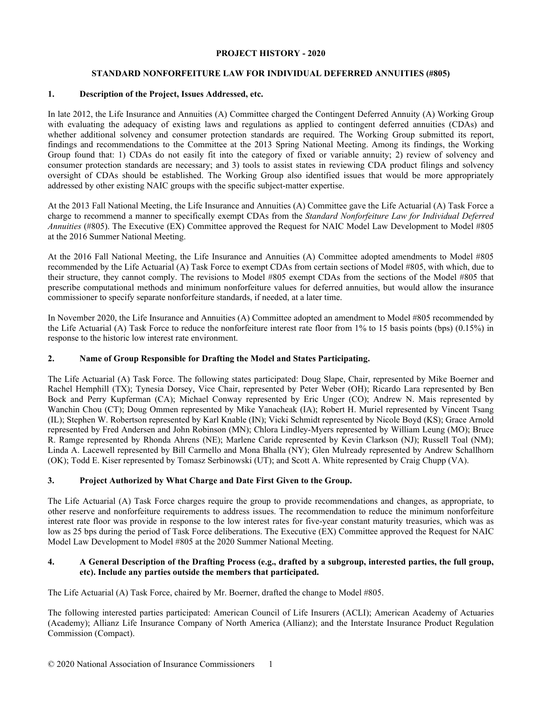### **PROJECT HISTORY - 2020**

## **STANDARD NONFORFEITURE LAW FOR INDIVIDUAL DEFERRED ANNUITIES (#805)**

### **1. Description of the Project, Issues Addressed, etc.**

In late 2012, the Life Insurance and Annuities (A) Committee charged the Contingent Deferred Annuity (A) Working Group with evaluating the adequacy of existing laws and regulations as applied to contingent deferred annuities (CDAs) and whether additional solvency and consumer protection standards are required. The Working Group submitted its report, findings and recommendations to the Committee at the 2013 Spring National Meeting. Among its findings, the Working Group found that: 1) CDAs do not easily fit into the category of fixed or variable annuity; 2) review of solvency and consumer protection standards are necessary; and 3) tools to assist states in reviewing CDA product filings and solvency oversight of CDAs should be established. The Working Group also identified issues that would be more appropriately addressed by other existing NAIC groups with the specific subject-matter expertise.

At the 2013 Fall National Meeting, the Life Insurance and Annuities (A) Committee gave the Life Actuarial (A) Task Force a charge to recommend a manner to specifically exempt CDAs from the *Standard Nonforfeiture Law for Individual Deferred Annuities* (#805). The Executive (EX) Committee approved the Request for NAIC Model Law Development to Model #805 at the 2016 Summer National Meeting.

At the 2016 Fall National Meeting, the Life Insurance and Annuities (A) Committee adopted amendments to Model #805 recommended by the Life Actuarial (A) Task Force to exempt CDAs from certain sections of Model #805, with which, due to their structure, they cannot comply. The revisions to Model #805 exempt CDAs from the sections of the Model #805 that prescribe computational methods and minimum nonforfeiture values for deferred annuities, but would allow the insurance commissioner to specify separate nonforfeiture standards, if needed, at a later time.

In November 2020, the Life Insurance and Annuities (A) Committee adopted an amendment to Model #805 recommended by the Life Actuarial (A) Task Force to reduce the nonforfeiture interest rate floor from 1% to 15 basis points (bps) (0.15%) in response to the historic low interest rate environment.

## **2. Name of Group Responsible for Drafting the Model and States Participating.**

The Life Actuarial (A) Task Force. The following states participated: Doug Slape, Chair, represented by Mike Boerner and Rachel Hemphill (TX); Tynesia Dorsey, Vice Chair, represented by Peter Weber (OH); Ricardo Lara represented by Ben Bock and Perry Kupferman (CA); Michael Conway represented by Eric Unger (CO); Andrew N. Mais represented by Wanchin Chou (CT); Doug Ommen represented by Mike Yanacheak (IA); Robert H. Muriel represented by Vincent Tsang (IL); Stephen W. Robertson represented by Karl Knable (IN); Vicki Schmidt represented by Nicole Boyd (KS); Grace Arnold represented by Fred Andersen and John Robinson (MN); Chlora Lindley-Myers represented by William Leung (MO); Bruce R. Ramge represented by Rhonda Ahrens (NE); Marlene Caride represented by Kevin Clarkson (NJ); Russell Toal (NM); Linda A. Lacewell represented by Bill Carmello and Mona Bhalla (NY); Glen Mulready represented by Andrew Schallhorn (OK); Todd E. Kiser represented by Tomasz Serbinowski (UT); and Scott A. White represented by Craig Chupp (VA).

## **3. Project Authorized by What Charge and Date First Given to the Group.**

The Life Actuarial (A) Task Force charges require the group to provide recommendations and changes, as appropriate, to other reserve and nonforfeiture requirements to address issues. The recommendation to reduce the minimum nonforfeiture interest rate floor was provide in response to the low interest rates for five-year constant maturity treasuries, which was as low as 25 bps during the period of Task Force deliberations. The Executive (EX) Committee approved the Request for NAIC Model Law Development to Model #805 at the 2020 Summer National Meeting.

#### **4. A General Description of the Drafting Process (e.g., drafted by a subgroup, interested parties, the full group, etc). Include any parties outside the members that participated.**

The Life Actuarial (A) Task Force, chaired by Mr. Boerner, drafted the change to Model #805.

The following interested parties participated: American Council of Life Insurers (ACLI); American Academy of Actuaries (Academy); Allianz Life Insurance Company of North America (Allianz); and the Interstate Insurance Product Regulation Commission (Compact).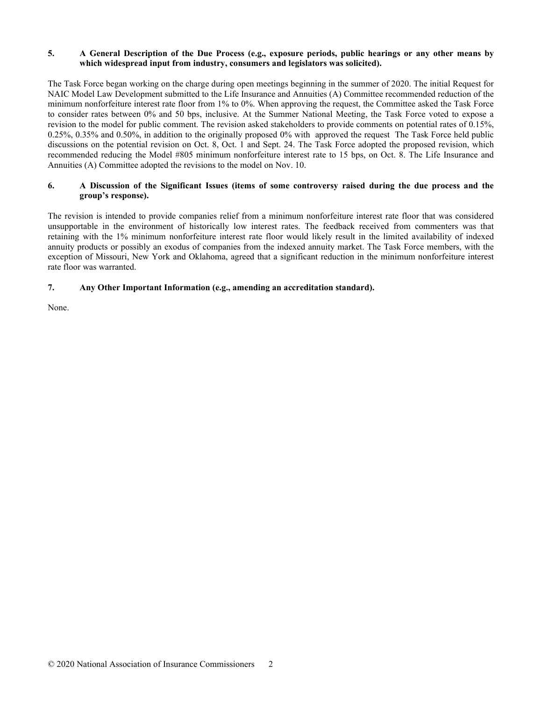## **5. A General Description of the Due Process (e.g., exposure periods, public hearings or any other means by which widespread input from industry, consumers and legislators was solicited).**

The Task Force began working on the charge during open meetings beginning in the summer of 2020. The initial Request for NAIC Model Law Development submitted to the Life Insurance and Annuities (A) Committee recommended reduction of the minimum nonforfeiture interest rate floor from 1% to 0%. When approving the request, the Committee asked the Task Force to consider rates between 0% and 50 bps, inclusive. At the Summer National Meeting, the Task Force voted to expose a revision to the model for public comment. The revision asked stakeholders to provide comments on potential rates of 0.15%, 0.25%, 0.35% and 0.50%, in addition to the originally proposed 0% with approved the request The Task Force held public discussions on the potential revision on Oct. 8, Oct. 1 and Sept. 24. The Task Force adopted the proposed revision, which recommended reducing the Model #805 minimum nonforfeiture interest rate to 15 bps, on Oct. 8. The Life Insurance and Annuities (A) Committee adopted the revisions to the model on Nov. 10.

## **6. A Discussion of the Significant Issues (items of some controversy raised during the due process and the group's response).**

The revision is intended to provide companies relief from a minimum nonforfeiture interest rate floor that was considered unsupportable in the environment of historically low interest rates. The feedback received from commenters was that retaining with the 1% minimum nonforfeiture interest rate floor would likely result in the limited availability of indexed annuity products or possibly an exodus of companies from the indexed annuity market. The Task Force members, with the exception of Missouri, New York and Oklahoma, agreed that a significant reduction in the minimum nonforfeiture interest rate floor was warranted.

# **7. Any Other Important Information (e.g., amending an accreditation standard).**

None.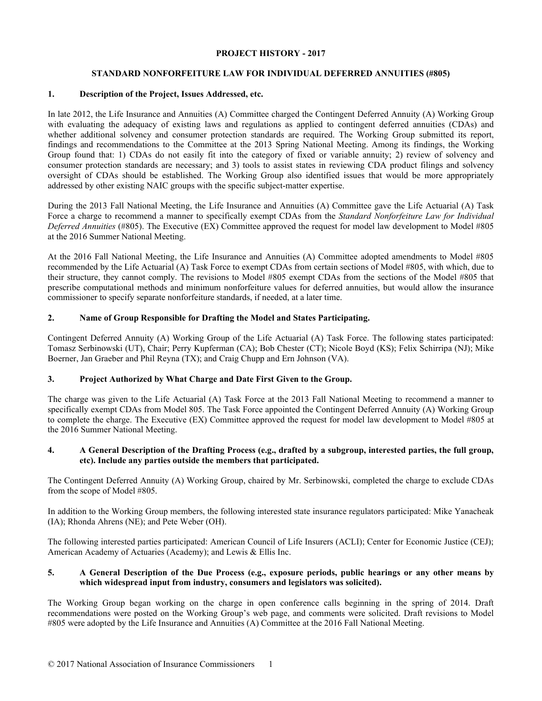## **PROJECT HISTORY - 2017**

## **STANDARD NONFORFEITURE LAW FOR INDIVIDUAL DEFERRED ANNUITIES (#805)**

### **1. Description of the Project, Issues Addressed, etc.**

In late 2012, the Life Insurance and Annuities (A) Committee charged the Contingent Deferred Annuity (A) Working Group with evaluating the adequacy of existing laws and regulations as applied to contingent deferred annuities (CDAs) and whether additional solvency and consumer protection standards are required. The Working Group submitted its report, findings and recommendations to the Committee at the 2013 Spring National Meeting. Among its findings, the Working Group found that: 1) CDAs do not easily fit into the category of fixed or variable annuity; 2) review of solvency and consumer protection standards are necessary; and 3) tools to assist states in reviewing CDA product filings and solvency oversight of CDAs should be established. The Working Group also identified issues that would be more appropriately addressed by other existing NAIC groups with the specific subject-matter expertise.

During the 2013 Fall National Meeting, the Life Insurance and Annuities (A) Committee gave the Life Actuarial (A) Task Force a charge to recommend a manner to specifically exempt CDAs from the *Standard Nonforfeiture Law for Individual Deferred Annuities* (#805). The Executive (EX) Committee approved the request for model law development to Model #805 at the 2016 Summer National Meeting.

At the 2016 Fall National Meeting, the Life Insurance and Annuities (A) Committee adopted amendments to Model #805 recommended by the Life Actuarial (A) Task Force to exempt CDAs from certain sections of Model #805, with which, due to their structure, they cannot comply. The revisions to Model #805 exempt CDAs from the sections of the Model #805 that prescribe computational methods and minimum nonforfeiture values for deferred annuities, but would allow the insurance commissioner to specify separate nonforfeiture standards, if needed, at a later time.

## **2. Name of Group Responsible for Drafting the Model and States Participating.**

Contingent Deferred Annuity (A) Working Group of the Life Actuarial (A) Task Force. The following states participated: Tomasz Serbinowski (UT), Chair; Perry Kupferman (CA); Bob Chester (CT); Nicole Boyd (KS); Felix Schirripa (NJ); Mike Boerner, Jan Graeber and Phil Reyna (TX); and Craig Chupp and Ern Johnson (VA).

## **3. Project Authorized by What Charge and Date First Given to the Group.**

The charge was given to the Life Actuarial (A) Task Force at the 2013 Fall National Meeting to recommend a manner to specifically exempt CDAs from Model 805. The Task Force appointed the Contingent Deferred Annuity (A) Working Group to complete the charge. The Executive (EX) Committee approved the request for model law development to Model #805 at the 2016 Summer National Meeting.

#### **4. A General Description of the Drafting Process (e.g., drafted by a subgroup, interested parties, the full group, etc). Include any parties outside the members that participated.**

The Contingent Deferred Annuity (A) Working Group, chaired by Mr. Serbinowski, completed the charge to exclude CDAs from the scope of Model #805.

In addition to the Working Group members, the following interested state insurance regulators participated: Mike Yanacheak (IA); Rhonda Ahrens (NE); and Pete Weber (OH).

The following interested parties participated: American Council of Life Insurers (ACLI); Center for Economic Justice (CEJ); American Academy of Actuaries (Academy); and Lewis & Ellis Inc.

#### **5. A General Description of the Due Process (e.g., exposure periods, public hearings or any other means by which widespread input from industry, consumers and legislators was solicited).**

The Working Group began working on the charge in open conference calls beginning in the spring of 2014. Draft recommendations were posted on the Working Group's web page, and comments were solicited. Draft revisions to Model #805 were adopted by the Life Insurance and Annuities (A) Committee at the 2016 Fall National Meeting.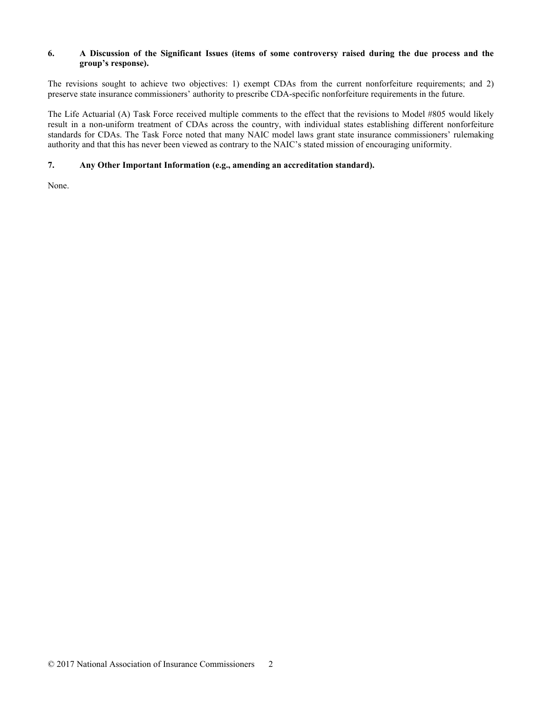## **6. A Discussion of the Significant Issues (items of some controversy raised during the due process and the group's response).**

The revisions sought to achieve two objectives: 1) exempt CDAs from the current nonforfeiture requirements; and 2) preserve state insurance commissioners' authority to prescribe CDA-specific nonforfeiture requirements in the future.

The Life Actuarial (A) Task Force received multiple comments to the effect that the revisions to Model #805 would likely result in a non-uniform treatment of CDAs across the country, with individual states establishing different nonforfeiture standards for CDAs. The Task Force noted that many NAIC model laws grant state insurance commissioners' rulemaking authority and that this has never been viewed as contrary to the NAIC's stated mission of encouraging uniformity.

## **7. Any Other Important Information (e.g., amending an accreditation standard).**

None.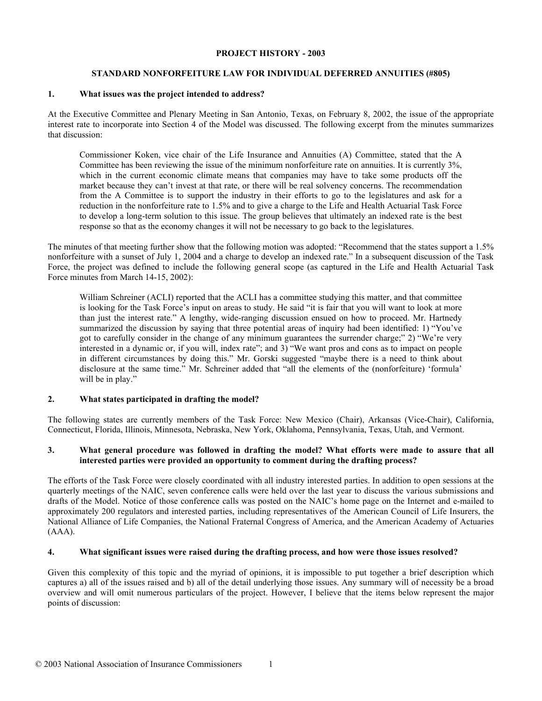#### **PROJECT HISTORY - 2003**

## **STANDARD NONFORFEITURE LAW FOR INDIVIDUAL DEFERRED ANNUITIES (#805)**

#### **1. What issues was the project intended to address?**

At the Executive Committee and Plenary Meeting in San Antonio, Texas, on February 8, 2002, the issue of the appropriate interest rate to incorporate into Section 4 of the Model was discussed. The following excerpt from the minutes summarizes that discussion:

Commissioner Koken, vice chair of the Life Insurance and Annuities (A) Committee, stated that the A Committee has been reviewing the issue of the minimum nonforfeiture rate on annuities. It is currently 3%, which in the current economic climate means that companies may have to take some products off the market because they can't invest at that rate, or there will be real solvency concerns. The recommendation from the A Committee is to support the industry in their efforts to go to the legislatures and ask for a reduction in the nonforfeiture rate to 1.5% and to give a charge to the Life and Health Actuarial Task Force to develop a long-term solution to this issue. The group believes that ultimately an indexed rate is the best response so that as the economy changes it will not be necessary to go back to the legislatures.

The minutes of that meeting further show that the following motion was adopted: "Recommend that the states support a 1.5% nonforfeiture with a sunset of July 1, 2004 and a charge to develop an indexed rate." In a subsequent discussion of the Task Force, the project was defined to include the following general scope (as captured in the Life and Health Actuarial Task Force minutes from March 14-15, 2002):

William Schreiner (ACLI) reported that the ACLI has a committee studying this matter, and that committee is looking for the Task Force's input on areas to study. He said "it is fair that you will want to look at more than just the interest rate." A lengthy, wide-ranging discussion ensued on how to proceed. Mr. Hartnedy summarized the discussion by saying that three potential areas of inquiry had been identified: 1) "You've got to carefully consider in the change of any minimum guarantees the surrender charge;" 2) "We're very interested in a dynamic or, if you will, index rate"; and 3) "We want pros and cons as to impact on people in different circumstances by doing this." Mr. Gorski suggested "maybe there is a need to think about disclosure at the same time." Mr. Schreiner added that "all the elements of the (nonforfeiture) 'formula' will be in play."

## **2. What states participated in drafting the model?**

The following states are currently members of the Task Force: New Mexico (Chair), Arkansas (Vice-Chair), California, Connecticut, Florida, Illinois, Minnesota, Nebraska, New York, Oklahoma, Pennsylvania, Texas, Utah, and Vermont.

## **3. What general procedure was followed in drafting the model? What efforts were made to assure that all interested parties were provided an opportunity to comment during the drafting process?**

The efforts of the Task Force were closely coordinated with all industry interested parties. In addition to open sessions at the quarterly meetings of the NAIC, seven conference calls were held over the last year to discuss the various submissions and drafts of the Model. Notice of those conference calls was posted on the NAIC's home page on the Internet and e-mailed to approximately 200 regulators and interested parties, including representatives of the American Council of Life Insurers, the National Alliance of Life Companies, the National Fraternal Congress of America, and the American Academy of Actuaries (AAA).

## **4. What significant issues were raised during the drafting process, and how were those issues resolved?**

Given this complexity of this topic and the myriad of opinions, it is impossible to put together a brief description which captures a) all of the issues raised and b) all of the detail underlying those issues. Any summary will of necessity be a broad overview and will omit numerous particulars of the project. However, I believe that the items below represent the major points of discussion: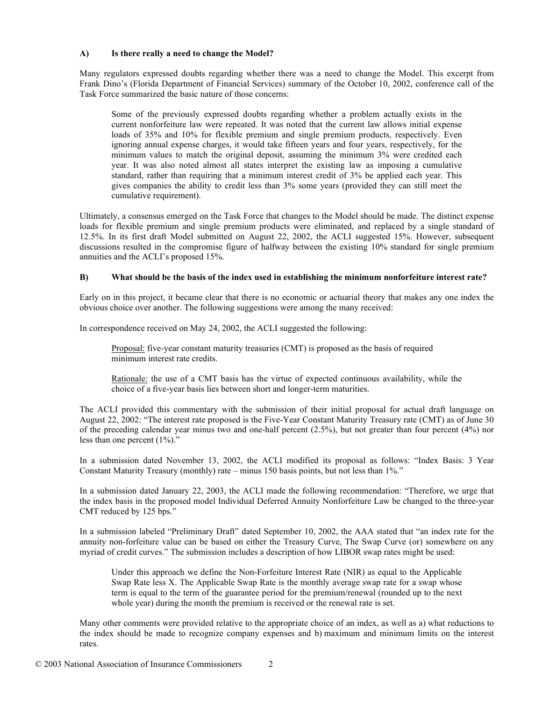#### **A) Is there really a need to change the Model?**

Many regulators expressed doubts regarding whether there was a need to change the Model. This excerpt from Frank Dino's (Florida Department of Financial Services) summary of the October 10, 2002, conference call of the Task Force summarized the basic nature of those concerns:

Some of the previously expressed doubts regarding whether a problem actually exists in the current nonforfeiture law were repeated. It was noted that the current law allows initial expense loads of 35% and 10% for flexible premium and single premium products, respectively. Even ignoring annual expense charges, it would take fifteen years and four years, respectively, for the minimum values to match the original deposit, assuming the minimum 3% were credited each year. It was also noted almost all states interpret the existing law as imposing a cumulative standard, rather than requiring that a minimum interest credit of 3% be applied each year. This gives companies the ability to credit less than 3% some years (provided they can still meet the cumulative requirement).

Ultimately, a consensus emerged on the Task Force that changes to the Model should be made. The distinct expense loads for flexible premium and single premium products were eliminated, and replaced by a single standard of 12.5%. In its first draft Model submitted on August 22, 2002, the ACLI suggested 15%. However, subsequent discussions resulted in the compromise figure of halfway between the existing 10% standard for single premium annuities and the ACLI's proposed 15%.

### **B) What should be the basis of the index used in establishing the minimum nonforfeiture interest rate?**

Early on in this project, it became clear that there is no economic or actuarial theory that makes any one index the obvious choice over another. The following suggestions were among the many received:

In correspondence received on May 24, 2002, the ACLI suggested the following:

Proposal: five-year constant maturity treasuries (CMT) is proposed as the basis of required minimum interest rate credits.

Rationale: the use of a CMT basis has the virtue of expected continuous availability, while the choice of a five-year basis lies between short and longer-term maturities.

The ACLI provided this commentary with the submission of their initial proposal for actual draft language on August 22, 2002: "The interest rate proposed is the Five-Year Constant Maturity Treasury rate (CMT) as of June 30 of the preceding calendar year minus two and one-half percent  $(2.5\%)$ , but not greater than four percent  $(4\%)$  nor less than one percent (1%)."

In a submission dated November 13, 2002, the ACLI modified its proposal as follows: "Index Basis: 3 Year Constant Maturity Treasury (monthly) rate – minus 150 basis points, but not less than 1%."

In a submission dated January 22, 2003, the ACLI made the following recommendation: "Therefore, we urge that the index basis in the proposed model Individual Deferred Annuity Nonforfeiture Law be changed to the three-year CMT reduced by 125 bps."

In a submission labeled "Preliminary Draft" dated September 10, 2002, the AAA stated that "an index rate for the annuity non-forfeiture value can be based on either the Treasury Curve, The Swap Curve (or) somewhere on any myriad of credit curves." The submission includes a description of how LIBOR swap rates might be used:

Under this approach we define the Non-Forfeiture Interest Rate (NIR) as equal to the Applicable Swap Rate less X. The Applicable Swap Rate is the monthly average swap rate for a swap whose term is equal to the term of the guarantee period for the premium/renewal (rounded up to the next whole year) during the month the premium is received or the renewal rate is set.

Many other comments were provided relative to the appropriate choice of an index, as well as a) what reductions to the index should be made to recognize company expenses and b) maximum and minimum limits on the interest rates.